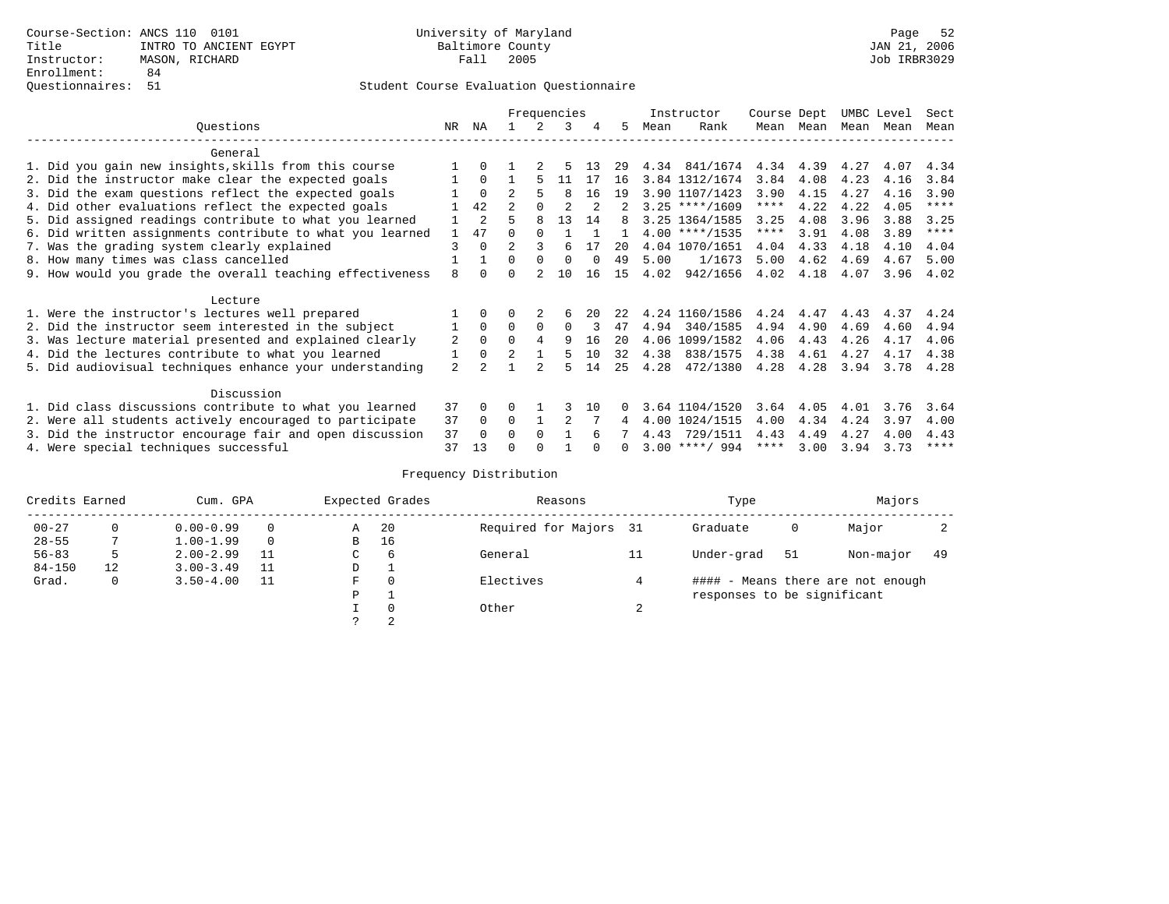|                                                           |    |                |                |          | Frequencies    |          |    |      | Instructor       | Course Dept |           |      | UMBC Level | Sect        |
|-----------------------------------------------------------|----|----------------|----------------|----------|----------------|----------|----|------|------------------|-------------|-----------|------|------------|-------------|
| Questions                                                 | NR | ΝA             |                |          | 3              |          | 5  | Mean | Rank             |             | Mean Mean |      | Mean Mean  | Mean        |
| General                                                   |    |                |                |          |                |          |    |      |                  |             |           |      |            |             |
| 1. Did you gain new insights, skills from this course     |    |                |                |          |                | -13      | 29 |      | 4.34 841/1674    | 4.34        | 4.39      | 4.27 | 4.07       | 4.34        |
| 2. Did the instructor make clear the expected goals       |    | $\Omega$       |                | 5        | 11             | -17      | 16 |      | 3.84 1312/1674   | 3.84        | 4.08      | 4.23 | 4.16       | 3.84        |
| 3. Did the exam questions reflect the expected goals      |    | $\Omega$       | $\mathfrak{D}$ | 5        | 8              | 16       | 19 |      | 3.90 1107/1423   | 3.90        | 4.15      | 4.27 | 4.16       | 3.90        |
| 4. Did other evaluations reflect the expected goals       |    | 42             |                | $\Omega$ | $\mathfrak{D}$ |          | 2  |      | $3.25$ ****/1609 | $***$ * *   | 4.22      | 4.22 | 4.05       | $***$ * * * |
| 5. Did assigned readings contribute to what you learned   |    | $\overline{a}$ | г,             | 8        | 13             | 14       | я  |      | 3.25 1364/1585   | 3.25        | 4.08      | 3.96 | 3.88       | 3.25        |
| 6. Did written assignments contribute to what you learned |    | 47             |                |          |                |          |    |      | $4.00$ ****/1535 | ****        | 3.91      | 4.08 | 3.89       | $***$ * * * |
| 7. Was the grading system clearly explained               | 3  | $\Omega$       | $\mathfrak{D}$ |          | 6              | 17       | 20 |      | 4.04 1070/1651   | 4.04        | 4.33      | 4.18 | 4.10       | 4.04        |
| 8. How many times was class cancelled                     |    |                | 0              | $\Omega$ | $\Omega$       | $\Omega$ | 49 | 5.00 | 1/1673           | 5.00        | 4.62      | 4.69 | 4.67       | 5.00        |
| 9. How would you grade the overall teaching effectiveness | 8  |                |                |          | 10             | 16       | 15 | 4.02 | 942/1656         | 4.02        | 4.18      | 4.07 | 3.96       | 4.02        |
|                                                           |    |                |                |          |                |          |    |      |                  |             |           |      |            |             |
| Lecture                                                   |    |                |                |          |                |          |    |      |                  |             |           |      |            |             |
| 1. Were the instructor's lectures well prepared           |    | $\Omega$       |                |          |                | 20       | 22 |      | 4.24 1160/1586   | 4.24        | 4.47      | 4.43 | 4.37       | 4.24        |
| 2. Did the instructor seem interested in the subject      |    | $\Omega$       | 0              | $\Omega$ | $\Omega$       |          | 47 | 4.94 | 340/1585         | 4.94        | 4.90      | 4.69 | 4.60       | 4.94        |
| 3. Was lecture material presented and explained clearly   | 2  | $\Omega$       | $\Omega$       | 4        | 9              | 16       | 20 |      | 4.06 1099/1582   | 4.06        | 4.43      | 4.26 | 4.17       | 4.06        |
| 4. Did the lectures contribute to what you learned        |    | $\Omega$       | $\overline{2}$ |          | 5              | 10       | 32 | 4.38 | 838/1575         | 4.38        | 4.61      | 4.27 | 4.17       | 4.38        |
| 5. Did audiovisual techniques enhance your understanding  | 2  |                |                |          | ц              | 14       | 25 | 4.28 | 472/1380         | 4.28        | 4.28      | 3.94 | 3.78       | 4.28        |
|                                                           |    |                |                |          |                |          |    |      |                  |             |           |      |            |             |
| Discussion                                                |    |                |                |          |                |          |    |      |                  |             |           |      |            |             |
| 1. Did class discussions contribute to what you learned   | 37 | $\Omega$       | U              |          |                | 10       |    |      | 3.64 1104/1520   | 3.64        | 4.05      | 4.01 | 3.76       | 3.64        |
| 2. Were all students actively encouraged to participate   | 37 | $\Omega$       | $\Omega$       |          |                |          | 4  |      | 4.00 1024/1515   | 4.00        | 4.34      | 4.24 | 3.97       | 4.00        |
| 3. Did the instructor encourage fair and open discussion  | 37 | $\Omega$       | U              | $\Omega$ |                |          |    | 4.43 | 729/1511         | 4.43        | 4.49      | 4.27 | 4.00       | 4.43        |
| 4. Were special techniques successful                     | 37 | 13             |                |          |                |          | 0  |      | $3.00$ ****/ 994 | ****        | 3.00      | 3.94 | 3.73       | ****        |

| Credits Earned |    | Cum. GPA      |          |    | Expected Grades | Reasons                |        | Type                        |    | Majors                            |     |
|----------------|----|---------------|----------|----|-----------------|------------------------|--------|-----------------------------|----|-----------------------------------|-----|
| $00 - 27$      |    | $0.00 - 0.99$ |          | Α  | 20              | Required for Majors 31 |        | Graduate                    | 0  | Major                             |     |
| $28 - 55$      |    | $1.00 - 1.99$ | $\Omega$ | B  | 16              |                        |        |                             |    |                                   |     |
| $56 - 83$      |    | $2.00 - 2.99$ |          | C. | 6               | General                | 11     | Under-grad                  | 51 | Non-major                         | -49 |
| $84 - 150$     | 12 | $3.00 - 3.49$ |          | D  |                 |                        |        |                             |    |                                   |     |
| Grad.          | 0  | $3.50 - 4.00$ |          | F  | $\Omega$        | Electives              |        |                             |    | #### - Means there are not enough |     |
|                |    |               |          | Ρ  | - 11            |                        |        | responses to be significant |    |                                   |     |
|                |    |               |          |    | $\Omega$        | Other                  | $\sim$ |                             |    |                                   |     |
|                |    |               |          |    |                 |                        |        |                             |    |                                   |     |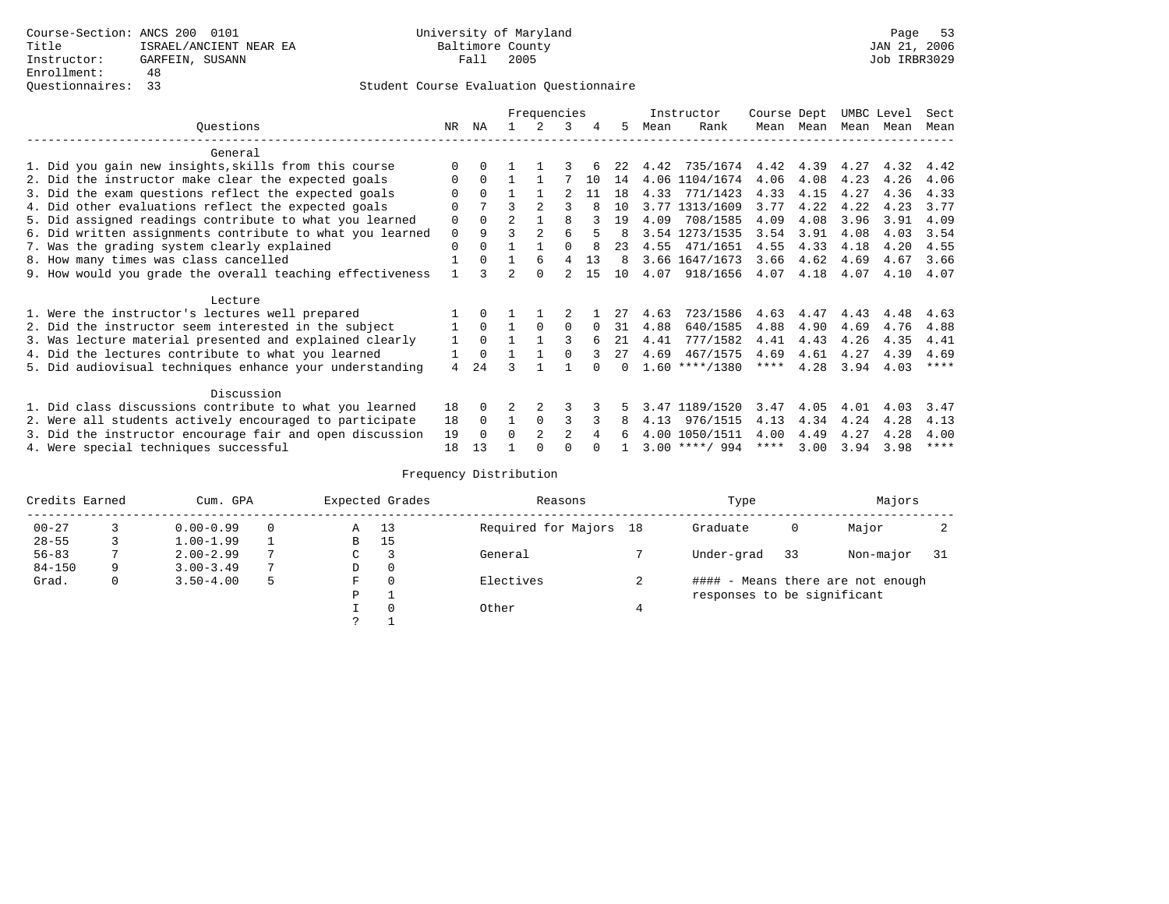### Student Course Evaluation Questionnaire

|                                                           |             |          |                | Frequencies    |                |    |              |      | Instructor       | Course Dept |           | UMBC Level |      | Sect        |
|-----------------------------------------------------------|-------------|----------|----------------|----------------|----------------|----|--------------|------|------------------|-------------|-----------|------------|------|-------------|
| Ouestions                                                 | NR          | ΝA       |                | 2              | 3              | 4  | .5           | Mean | Rank             |             | Mean Mean | Mean Mean  |      | Mean        |
| General                                                   |             |          |                |                |                |    |              |      |                  |             |           |            |      |             |
| 1. Did you gain new insights, skills from this course     |             | 0        |                |                |                |    | 22           | 4.42 | 735/1674         | 4.42        | 4.39      | 4.27       | 4.32 | 4.42        |
| 2. Did the instructor make clear the expected goals       | 0           | $\Omega$ |                |                |                | 10 | 14           |      | 4.06 1104/1674   | 4.06        | 4.08      | 4.23       | 4.26 | 4.06        |
| 3. Did the exam questions reflect the expected goals      | 0           | $\Omega$ |                |                |                | 11 | 1 R          | 4.33 | 771/1423         | 4.33        | 4.15      | 4.27       | 4.36 | 4.33        |
| 4. Did other evaluations reflect the expected goals       | O           |          |                |                |                |    | 10           |      | 3.77 1313/1609   | 3.77        | 4.22      | 4.22       | 4.23 | 3.77        |
| 5. Did assigned readings contribute to what you learned   | 0           | $\Omega$ | $\overline{2}$ |                | 8              |    | 19           | 4.09 | 708/1585         | 4.09        | 4.08      | 3.96       | 3.91 | 4.09        |
| 6. Did written assignments contribute to what you learned | $\mathbf 0$ | 9        |                | $\mathfrak{D}$ | 6              |    | 8            |      | 3.54 1273/1535   | 3.54        | 3.91      | 4.08       | 4.03 | 3.54        |
| 7. Was the grading system clearly explained               | 0           |          |                |                |                | 8  | 23           |      | 4.55 471/1651    | 4.55        | 4.33      | 4.18       | 4.20 | 4.55        |
| 8. How many times was class cancelled                     |             | $\Omega$ |                | 6              | 4              | 13 | 8            |      | 3.66 1647/1673   | 3.66        | 4.62      | 4.69       | 4.67 | 3.66        |
| 9. How would you grade the overall teaching effectiveness |             |          | $\mathcal{L}$  | $\Omega$       | $\mathfrak{D}$ | 15 | 1 O          | 4.07 | 918/1656         | 4.07        | 4.18      | 4.07       | 4.10 | 4.07        |
| Lecture                                                   |             |          |                |                |                |    |              |      |                  |             |           |            |      |             |
| 1. Were the instructor's lectures well prepared           |             | $\Omega$ |                |                |                |    | 27           | 4.63 | 723/1586         | 4.63        | 4.47      | 4.43       | 4.48 | 4.63        |
| 2. Did the instructor seem interested in the subject      |             | $\Omega$ |                | $\Omega$       | $\Omega$       |    | 31           | 4.88 | 640/1585         | 4.88        | 4.90      | 4.69       | 4.76 | 4.88        |
| 3. Was lecture material presented and explained clearly   | 1           | $\Omega$ |                |                | 3              | 6  | 21           | 4.41 | 777/1582         | 4.41        | 4.43      | 4.26       | 4.35 | 4.41        |
| 4. Did the lectures contribute to what you learned        |             | $\Omega$ |                |                |                |    | $27^{\circ}$ | 4.69 | 467/1575         | 4.69        | 4.61      | 4.27       | 4.39 | 4.69        |
| 5. Did audiovisual techniques enhance your understanding  | 4           | 24       |                |                |                |    |              |      | $1.60$ ****/1380 | ****        | 4.28      | 3.94       | 4.03 | $***$ *     |
| Discussion                                                |             |          |                |                |                |    |              |      |                  |             |           |            |      |             |
| 1. Did class discussions contribute to what you learned   | 18          | 0        |                |                | 3              |    |              | 3.47 | 1189/1520        | 3.47        | 4.05      | 4.01       | 4.03 | 3.47        |
| 2. Were all students actively encouraged to participate   | 18          | $\Omega$ |                | 0              | 3              |    | 8            | 4.13 | 976/1515         | 4.13        | 4.34      | 4.24       | 4.28 | 4.13        |
| 3. Did the instructor encourage fair and open discussion  | 19          | $\Omega$ | <sup>0</sup>   | $\mathfrak{D}$ | 2              |    |              |      | 4.00 1050/1511   | 4.00        | 4.49      | 4.27       | 4.28 | 4.00        |
| 4. Were special techniques successful                     | 18          | 13       |                |                |                |    |              |      | $3.00$ ****/ 994 | ****        | 3.00      | 3.94       | 3.98 | $***$ * * * |

| Credits Earned |   | Cum. GPA      |    | Expected Grades | Reasons                | Type                        |    | Majors                            |    |
|----------------|---|---------------|----|-----------------|------------------------|-----------------------------|----|-----------------------------------|----|
| $00 - 27$      |   | $0.00 - 0.99$ | Α  | 13              | Required for Majors 18 | Graduate                    | 0  | Major                             |    |
| $28 - 55$      |   | $1.00 - 1.99$ | В  | 15              |                        |                             |    |                                   |    |
| $56 - 83$      |   | $2.00 - 2.99$ | C. |                 | General                | Under-grad                  | 33 | Non-major                         | 31 |
| $84 - 150$     | 9 | $3.00 - 3.49$ | D  | 0               |                        |                             |    |                                   |    |
| Grad.          | 0 | $3.50 - 4.00$ | F  | $\Omega$        | Electives              |                             |    | #### - Means there are not enough |    |
|                |   |               | Ρ  |                 |                        | responses to be significant |    |                                   |    |
|                |   |               |    | $\Omega$        | Other                  |                             |    |                                   |    |
|                |   |               |    |                 |                        |                             |    |                                   |    |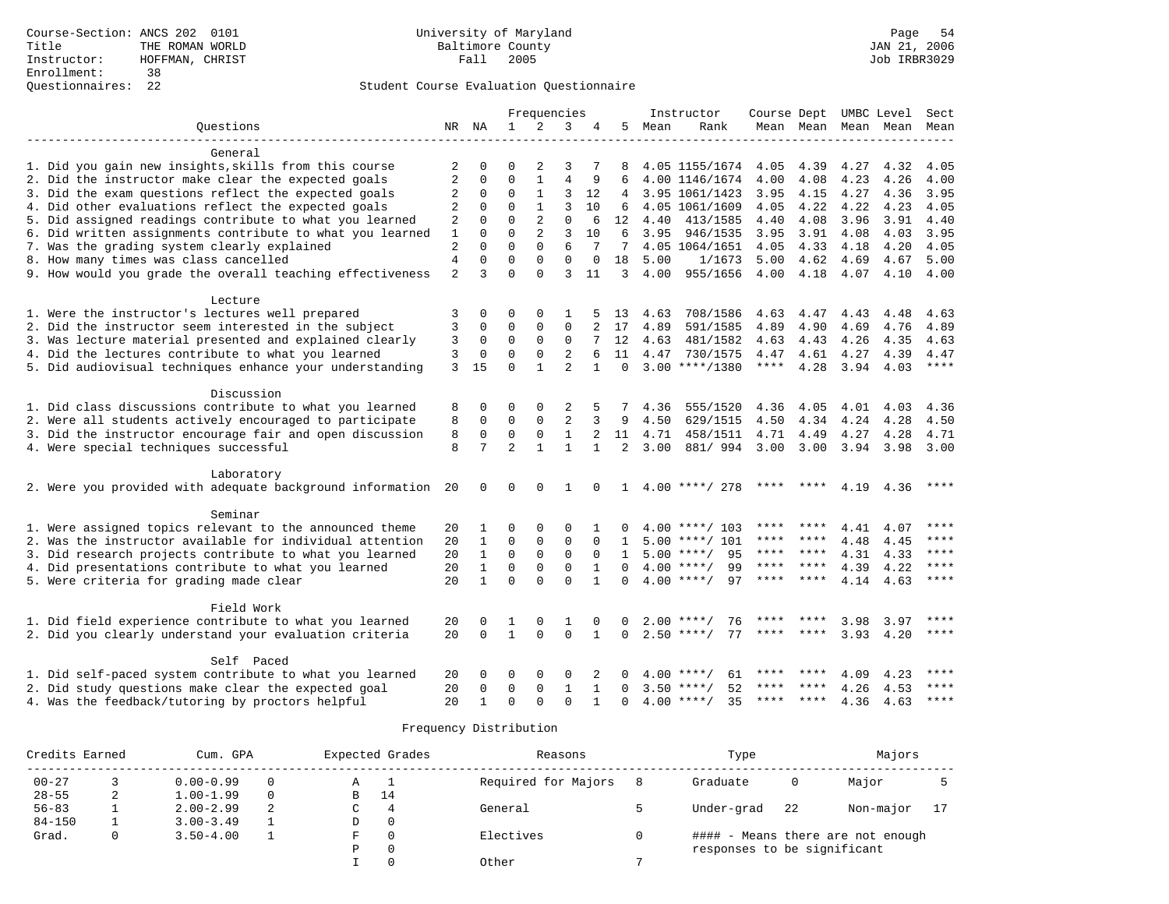### Student Course Evaluation Questionnaire

|                                                              |                |              |                | Frequencies    |                |                |                |      | Instructor               | Course Dept UMBC Level Sect |             |      |                          |       |
|--------------------------------------------------------------|----------------|--------------|----------------|----------------|----------------|----------------|----------------|------|--------------------------|-----------------------------|-------------|------|--------------------------|-------|
| Ouestions                                                    |                | NR NA        | 1              | $\overline{2}$ | 3              | 4              | 5              | Mean | Rank                     |                             |             |      | Mean Mean Mean Mean Mean |       |
| General                                                      |                |              |                |                |                |                |                |      |                          |                             |             |      |                          |       |
| 1. Did you gain new insights, skills from this course        | 2              | $\Omega$     | $\Omega$       | 2              | 3              |                | 8              |      | 4.05 1155/1674           | 4.05                        | 4.39        | 4.27 | 4.32                     | 4.05  |
| 2. Did the instructor make clear the expected goals          | 2              | 0            | $\mathsf 0$    | $\mathbf{1}$   | $\overline{4}$ | 9              | 6              |      | 4.00 1146/1674           | 4.00                        | 4.08        | 4.23 | 4.26                     | 4.00  |
| 3. Did the exam questions reflect the expected goals         | 2              | $\mathbf 0$  | $\Omega$       | $\mathbf{1}$   | 3              | 12             | 4              |      | 3.95 1061/1423           | 3.95                        | 4.15        | 4.27 | 4.36                     | 3.95  |
| 4. Did other evaluations reflect the expected goals          | $\overline{c}$ | $\mathbf 0$  | $\Omega$       | $\mathbf{1}$   | 3              | 10             | 6              |      | 4.05 1061/1609           | 4.05                        | 4.22        | 4.22 | 4.23                     | 4.05  |
| 5. Did assigned readings contribute to what you learned      | 2              | $\mathbf 0$  | $\mathbf 0$    | 2              | 0              | 6              | 12             | 4.40 | 413/1585                 | 4.40                        | 4.08        | 3.96 | 3.91                     | 4.40  |
| 6. Did written assignments contribute to what you learned    | $\mathbf{1}$   | $\Omega$     | $\Omega$       | $\overline{2}$ | 3              | 10             | 6              | 3.95 | 946/1535                 | 3.95                        | 3.91        | 4.08 | 4.03                     | 3.95  |
| 7. Was the grading system clearly explained                  | $\overline{2}$ | $\Omega$     | $\Omega$       | $\Omega$       | 6              | 7              | 7              |      | 4.05 1064/1651           | 4.05                        | 4.33        | 4.18 | 4.20                     | 4.05  |
| 8. How many times was class cancelled                        | $\overline{4}$ | $\mathbf 0$  | $\mathbf 0$    | $\mathbf{0}$   | 0              | $\mathbf 0$    | 18             | 5.00 | 1/1673                   | 5.00                        | 4.62        | 4.69 | 4.67                     | 5.00  |
| 9. How would you grade the overall teaching effectiveness    | $\overline{2}$ | 3            | $\Omega$       | $\cap$         | ζ              | 11             | 3              | 4.00 | 955/1656                 | 4.00                        | 4.18        | 4.07 | 4.10                     | 4.00  |
| Lecture                                                      |                |              |                |                |                |                |                |      |                          |                             |             |      |                          |       |
| 1. Were the instructor's lectures well prepared              | 3              | $\mathbf 0$  | 0              | $\Omega$       | 1              |                | 13             | 4.63 | 708/1586                 | 4.63                        | 4.47        | 4.43 | 4.48                     | 4.63  |
| 2. Did the instructor seem interested in the subject         | 3              | 0            | $\mathbf 0$    | $\mathbf{0}$   | $\mathbf 0$    |                | 17             | 4.89 | 591/1585                 | 4.89                        | 4.90        | 4.69 | 4.76                     | 4.89  |
| 3. Was lecture material presented and explained clearly      | 3              | $\mathbf 0$  | 0              | $\Omega$       | 0              |                | 12             | 4.63 | 481/1582                 | 4.63                        | 4.43        | 4.26 | 4.35                     | 4.63  |
| 4. Did the lectures contribute to what you learned           | 3              | $\mathbf 0$  | $\mathbf 0$    | $\Omega$       | 2              | 6              | 11             |      | 4.47 730/1575            | 4.47                        | 4.61        | 4.27 | 4.39                     | 4.47  |
| 5. Did audiovisual techniques enhance your understanding     | $\mathbf{3}$   | 15           | $\Omega$       | $\mathbf{1}$   | $\overline{a}$ |                | $\Omega$       |      | $3.00$ ****/1380         | $***$ * * *                 | 4.28        | 3.94 | 4.03                     | $***$ |
| Discussion                                                   |                |              |                |                |                |                |                |      |                          |                             |             |      |                          |       |
| 1. Did class discussions contribute to what you learned      | 8              | $\Omega$     | $\Omega$       | $\Omega$       | 2              | 5              |                | 4.36 | 555/1520                 | 4.36                        | 4.05        | 4.01 | 4.03                     | 4.36  |
| 2. Were all students actively encouraged to participate      | 8              | $\mathbf 0$  | $\mathbf 0$    | $\mathbf{0}$   | $\overline{2}$ | 3              | 9              | 4.50 | 629/1515                 | 4.50                        | 4.34        | 4.24 | 4.28                     | 4.50  |
| 3. Did the instructor encourage fair and open discussion     | 8              | 0            | $\mathbf 0$    | $\mathsf 0$    | $\mathbf{1}$   | $\overline{a}$ | 11             | 4.71 | 458/1511                 | 4.71                        | 4.49        | 4.27 | 4.28                     | 4.71  |
| 4. Were special techniques successful                        | 8              | 7            | $\overline{a}$ | $\mathbf{1}$   | $\mathbf{1}$   | $\mathbf{1}$   | $\overline{2}$ | 3.00 | 881/994                  | 3.00                        | 3.00        | 3.94 | 3.98                     | 3.00  |
| Laboratory                                                   |                |              |                |                |                |                |                |      |                          |                             |             |      |                          |       |
| 2. Were you provided with adequate background information 20 |                | 0            | 0              | $\Omega$       | 1              | $\Omega$       |                |      | $1 \quad 4.00$ ****/ 278 |                             |             | 4.19 | 4.36                     |       |
| Seminar                                                      |                |              |                |                |                |                |                |      |                          |                             |             |      |                          |       |
| 1. Were assigned topics relevant to the announced theme      | 20             | 1            | $\Omega$       | $\Omega$       | $\Omega$       |                | $\Omega$       |      | $4.00$ ****/ 103         |                             |             | 4.41 | 4.07                     |       |
| 2. Was the instructor available for individual attention     | 20             | $\mathbf{1}$ | $\Omega$       | $\mathbf 0$    | $\mathbf{0}$   | $\Omega$       | $\mathbf{1}$   |      | $5.00$ ****/ 101         | ****                        | ****        | 4.48 | 4.45                     | $***$ |
| 3. Did research projects contribute to what you learned      | 20             | $\mathbf{1}$ | $\Omega$       | $\Omega$       | $\Omega$       | $\Omega$       | $\mathbf{1}$   |      | $5.00$ ****/<br>95       | ****                        | ****        | 4.31 | 4.33                     | ****  |
| 4. Did presentations contribute to what you learned          | 20             | $\mathbf{1}$ | $\mathbf 0$    | $\mathbf{0}$   | $\Omega$       | $\mathbf{1}$   | $\Omega$       |      | $4.00$ ****/<br>99       | ****                        | $* * * * *$ | 4.39 | 4.22                     | $***$ |
| 5. Were criteria for grading made clear                      | 20             | $\mathbf{1}$ | $\Omega$       | $\Omega$       | $\Omega$       | $\mathbf{1}$   | $\Omega$       |      | 97<br>$4.00$ ****/       |                             | **** ****   | 4.14 | 4.63                     | ****  |
| Field Work                                                   |                |              |                |                |                |                |                |      |                          |                             |             |      |                          |       |
| 1. Did field experience contribute to what you learned       | 20             | $\Omega$     |                | $\Omega$       | 1              |                |                |      | 76<br>$2.00$ ****/       | ****                        |             | 3.98 | 3.97                     | ****  |
| 2. Did you clearly understand your evaluation criteria       | 20             | $\Omega$     | $\mathbf{1}$   | $\Omega$       | $\Omega$       | $\mathbf{1}$   | $\mathbf 0$    |      | $2.50$ ****/<br>77       | ****                        | ****        | 3.93 | 4.20                     | ****  |
| Self Paced                                                   |                |              |                |                |                |                |                |      |                          |                             |             |      |                          |       |
| 1. Did self-paced system contribute to what you learned      | 20             | $\Omega$     | $\Omega$       | $\Omega$       | $\Omega$       | 2              |                |      | $4.00$ ****/<br>61       |                             |             | 4.09 | 4.23                     | ****  |
| 2. Did study questions make clear the expected goal          | 20             | 0            | $\mathbf 0$    | 0              | 1              | 1              | $\Omega$       |      | 52<br>$3.50$ ****/       | ****                        |             | 4.26 | 4.53                     | ****  |
| 4. Was the feedback/tutoring by proctors helpful             | 2.0            | $\mathbf{1}$ | $\Omega$       | $\Omega$       | $\Omega$       | $\mathbf{1}$   | $\Omega$       |      | $4.00$ ****/<br>35       | ****                        | ****        | 4.36 | 4.63                     | ****  |

| Credits Earned |   | Cum. GPA      |          |   | Expected Grades | Reasons             | Type                        |     | Majors                            |  |
|----------------|---|---------------|----------|---|-----------------|---------------------|-----------------------------|-----|-----------------------------------|--|
| $00 - 27$      |   | $0.00 - 0.99$ |          | А |                 | Required for Majors | Graduate                    |     | Major                             |  |
| $28 - 55$      | 2 | $1.00 - 1.99$ | $\Omega$ | B | 14              |                     |                             |     |                                   |  |
| $56 - 83$      |   | $2.00 - 2.99$ | 2        |   | 4               | General             | Under-grad                  | -22 | Non-major                         |  |
| $84 - 150$     |   | $3.00 - 3.49$ |          | D | $\circ$         |                     |                             |     |                                   |  |
| Grad.          |   | $3.50 - 4.00$ |          |   | $\Omega$        | Electives           |                             |     | #### - Means there are not enough |  |
|                |   |               |          |   | $\mathbf 0$     |                     | responses to be significant |     |                                   |  |
|                |   |               |          |   |                 | Other               |                             |     |                                   |  |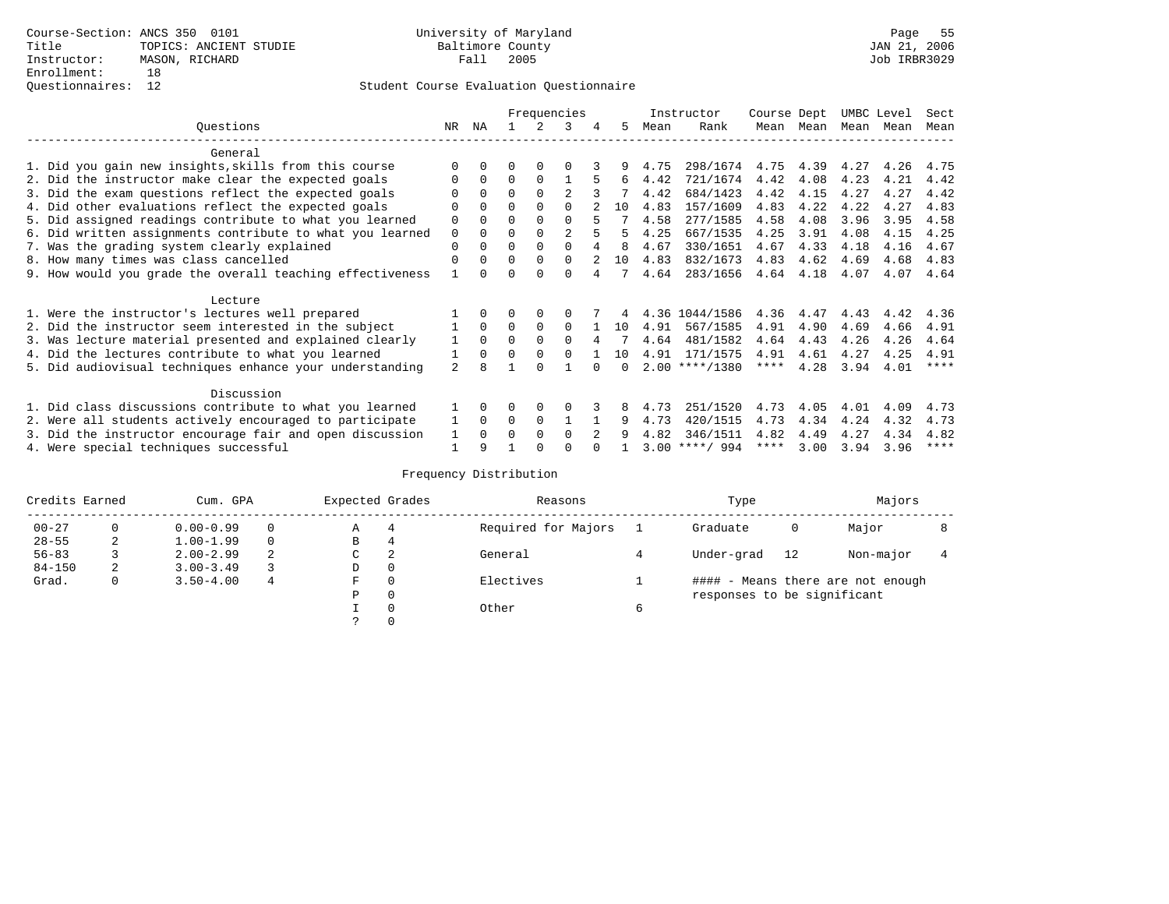## Questionnaires: 12 Student Course Evaluation Questionnaire

|                                                           |                |              |              |              | Frequencies  |   |    |      | Instructor       | Course Dept |           | UMBC Level |      | Sect        |
|-----------------------------------------------------------|----------------|--------------|--------------|--------------|--------------|---|----|------|------------------|-------------|-----------|------------|------|-------------|
| Ouestions                                                 | NR             | ΝA           |              | 2            | 3            | 4 | 5  | Mean | Rank             |             | Mean Mean | Mean Mean  |      | Mean        |
| General                                                   |                |              |              |              |              |   |    |      |                  |             |           |            |      |             |
| 1. Did you gain new insights, skills from this course     |                | $\Omega$     | 0            | $\Omega$     | 0            |   | 9  | 4.75 | 298/1674         | 4.75        | 4.39      | 4.27       | 4.26 | 4.75        |
| 2. Did the instructor make clear the expected goals       |                | $\Omega$     | $\Omega$     | $\Omega$     |              |   | 6  | 4.42 | 721/1674         | 4.42        | 4.08      | 4.23       | 4.21 | 4.42        |
| 3. Did the exam questions reflect the expected goals      |                | $\Omega$     | $\Omega$     | $\Omega$     | 2            |   |    | 4.42 | 684/1423         | 4.42        | 4.15      | 4.27       | 4.27 | 4.42        |
| 4. Did other evaluations reflect the expected goals       |                | $\Omega$     | 0            | $\Omega$     |              |   | 10 | 4.83 | 157/1609         | 4.83        | 4.22      | 4.22       | 4.27 | 4.83        |
| 5. Did assigned readings contribute to what you learned   | 0              | $\Omega$     | U            | $\Omega$     | $\Omega$     | 5 |    | 4.58 | 277/1585         | 4.58        | 4.08      | 3.96       | 3.95 | 4.58        |
| 6. Did written assignments contribute to what you learned | $\mathbf 0$    | $\Omega$     | U            | $\Omega$     | 2            |   | 5  | 4.25 | 667/1535         | 4.25        | 3.91      | 4.08       | 4.15 | 4.25        |
| 7. Was the grading system clearly explained               | 0              | $\Omega$     | 0            | $\Omega$     |              |   | 8  | 4.67 | 330/1651         | 4.67        | 4.33      | 4.18       | 4.16 | 4.67        |
| 8. How many times was class cancelled                     | 0              | $\Omega$     | $\Omega$     | $\Omega$     | $\Omega$     |   | 10 | 4.83 | 832/1673         | 4.83        | 4.62      | 4.69       | 4.68 | 4.83        |
| 9. How would you grade the overall teaching effectiveness |                | <sup>n</sup> |              | <sup>n</sup> | <sup>n</sup> |   |    | 4.64 | 283/1656         | 4.64        | 4.18      | 4.07       | 4.07 | 4.64        |
| Lecture                                                   |                |              |              |              |              |   |    |      |                  |             |           |            |      |             |
| 1. Were the instructor's lectures well prepared           |                | $\Omega$     |              | 0            |              |   |    |      | 4.36 1044/1586   | 4.36        | 4.47      | 4.43       | 4.42 | 4.36        |
| 2. Did the instructor seem interested in the subject      |                | $\Omega$     | $\Omega$     | $\Omega$     | $\Omega$     |   | 10 | 4.91 | 567/1585         | 4.91        | 4.90      | 4.69       | 4.66 | 4.91        |
| 3. Was lecture material presented and explained clearly   | 1              | $\Omega$     | 0            | $\Omega$     | 0            | 4 |    | 4.64 | 481/1582         | 4.64        | 4.43      | 4.26       | 4.26 | 4.64        |
| 4. Did the lectures contribute to what you learned        |                | $\Omega$     | <sup>0</sup> | $\Omega$     | 0            |   | 10 | 4.91 | 171/1575         | 4.91        | 4.61      | 4.27       | 4.25 | 4.91        |
| 5. Did audiovisual techniques enhance your understanding  | $\overline{a}$ |              |              |              |              |   |    |      | $2.00$ ****/1380 | ****        | 4.28      | 3.94       | 4.01 | $***$ * * * |
| Discussion                                                |                |              |              |              |              |   |    |      |                  |             |           |            |      |             |
| 1. Did class discussions contribute to what you learned   |                | $\Omega$     | 0            | 0            |              |   |    | 4.73 | 251/1520         | 4.73        | 4.05      | 4.01       | 4.09 | 4.73        |
| 2. Were all students actively encouraged to participate   |                | $\Omega$     | 0            | 0            |              |   | 9  | 4.73 | 420/1515         | 4.73        | 4.34      | 4.24       | 4.32 | 4.73        |
| 3. Did the instructor encourage fair and open discussion  |                | $\Omega$     | U            | $\Omega$     | 0            |   |    | 4.82 | 346/1511         | 4.82        | 4.49      | 4.27       | 4.34 | 4.82        |
| 4. Were special techniques successful                     |                | 9            |              |              |              |   |    |      | $3.00$ ****/ 994 | ****        | 3.00      | 3.94       | 3.96 | $***$ * * * |

| Credits Earned |          | Cum. GPA      |   | Expected Grades |          | Reasons             |   | Type                        |    | Majors                            |  |
|----------------|----------|---------------|---|-----------------|----------|---------------------|---|-----------------------------|----|-----------------------------------|--|
| $00 - 27$      | $\Omega$ | $0.00 - 0.99$ |   | А               | 4        | Required for Majors |   | Graduate                    | 0  | Major                             |  |
| $28 - 55$      | 2        | $1.00 - 1.99$ |   | В               | 4        |                     |   |                             |    |                                   |  |
| $56 - 83$      |          | $2.00 - 2.99$ | 2 | $\sim$<br>◡     | 2        | General             |   | Under-grad                  | 12 | Non-major                         |  |
| $84 - 150$     | 2        | $3.00 - 3.49$ |   | D               | 0        |                     |   |                             |    |                                   |  |
| Grad.          | 0        | $3.50 - 4.00$ | 4 | F               | 0        | Electives           |   |                             |    | #### - Means there are not enough |  |
|                |          |               |   | Ρ               | 0        |                     |   | responses to be significant |    |                                   |  |
|                |          |               |   |                 | $\Omega$ | Other               | 6 |                             |    |                                   |  |
|                |          |               |   |                 |          |                     |   |                             |    |                                   |  |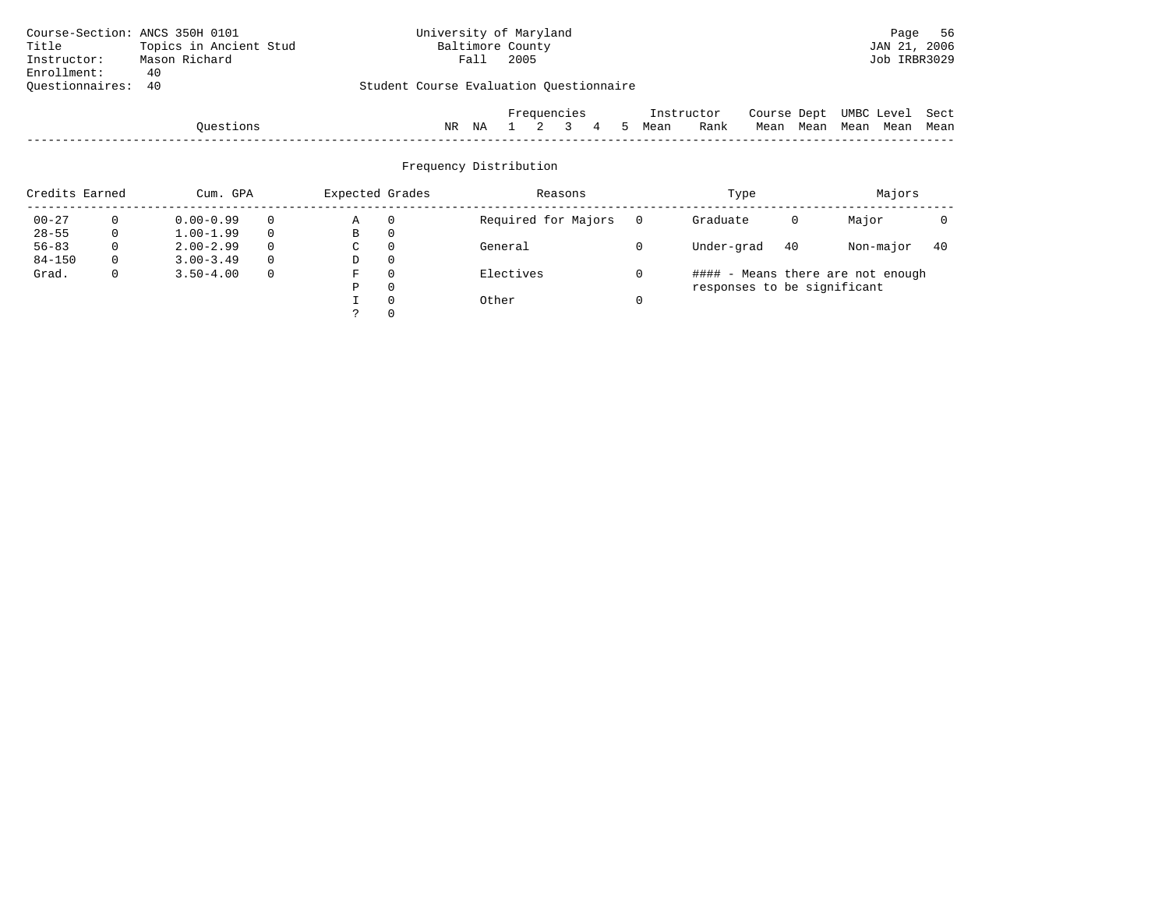| Course-Section: ANCS 350H 0101                                    |                        |  |    | University of Maryland |             |  |  |   |               |      |            |             |      |                 | Page         | -56  |
|-------------------------------------------------------------------|------------------------|--|----|------------------------|-------------|--|--|---|---------------|------|------------|-------------|------|-----------------|--------------|------|
| Title                                                             | Topics in Ancient Stud |  |    | Baltimore County       |             |  |  |   |               |      |            |             |      |                 | JAN 21, 2006 |      |
| Instructor:                                                       | Mason Richard          |  |    | Fall                   | 2005        |  |  |   |               |      |            |             |      |                 | Job IRBR3029 |      |
| Enrollment:                                                       | 40                     |  |    |                        |             |  |  |   |               |      |            |             |      |                 |              |      |
| Student Course Evaluation Questionnaire<br>Ouestionnaires:<br>-40 |                        |  |    |                        |             |  |  |   |               |      |            |             |      |                 |              |      |
|                                                                   |                        |  |    |                        |             |  |  |   |               |      |            |             |      |                 |              |      |
|                                                                   |                        |  |    |                        | Frequencies |  |  |   |               |      | Instructor | Course Dept |      | UMBC Level Sect |              |      |
|                                                                   | Ouestions              |  | NR | ΝA                     |             |  |  | 4 | $\mathcal{L}$ | Mean | Rank       | Mean        | Mean | Mean            | Mean         | Mean |

| Credits Earned |          | Cum. GPA      |          | Expected Grades |          | Reasons             | Type                        |    | Majors                            |     |
|----------------|----------|---------------|----------|-----------------|----------|---------------------|-----------------------------|----|-----------------------------------|-----|
| $00 - 27$      | 0        | $0.00 - 0.99$ | $\Omega$ | Α               | - 0      | Required for Majors | Graduate                    | 0  | Major                             |     |
| $28 - 55$      | 0        | $1.00 - 1.99$ | $\Omega$ | B               | 0        |                     |                             |    |                                   |     |
| $56 - 83$      | 0        | $2.00 - 2.99$ | $\Omega$ | C               | - 0      | General             | Under-grad                  | 40 | Non-major                         | -40 |
| $84 - 150$     | $\Omega$ | $3.00 - 3.49$ | $\Omega$ | D               | - 0      |                     |                             |    |                                   |     |
| Grad.          | 0        | $3.50 - 4.00$ | $\Omega$ | F               | $\Omega$ | Electives           |                             |    | #### - Means there are not enough |     |
|                |          |               |          | D               | $\Omega$ |                     | responses to be significant |    |                                   |     |
|                |          |               |          |                 | $\Omega$ | Other               |                             |    |                                   |     |
|                |          |               |          |                 |          |                     |                             |    |                                   |     |